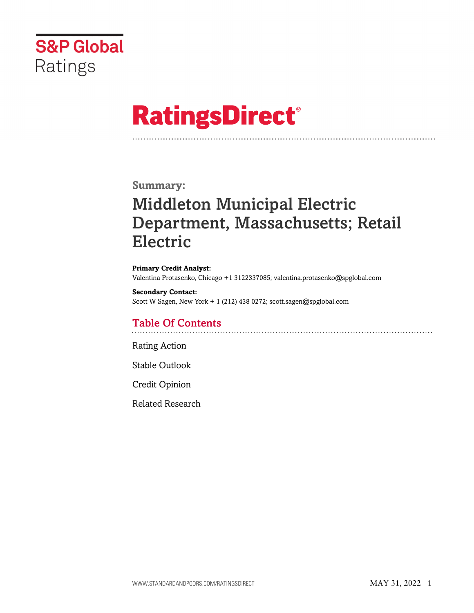

# **RatingsDirect®**

## **Summary:**

# Middleton Municipal Electric Department, Massachusetts; Retail Electric

**Primary Credit Analyst:**  Valentina Protasenko, Chicago +1 3122337085; [valentina.protasenko@spglobal.com](mailto:valentina.protasenko@spglobal.com) 

**Secondary Contact:**  Scott W Sagen, New York + 1 (212) 438 0272; [scott.sagen@spglobal.com](mailto:scott.sagen@spglobal.com) 

# Table Of Contents

[Rating Action](#page-1-0) 

[Stable Outlook](#page-2-0) 

[Credit Opinion](#page-2-1) 

[Related Research](#page-3-0)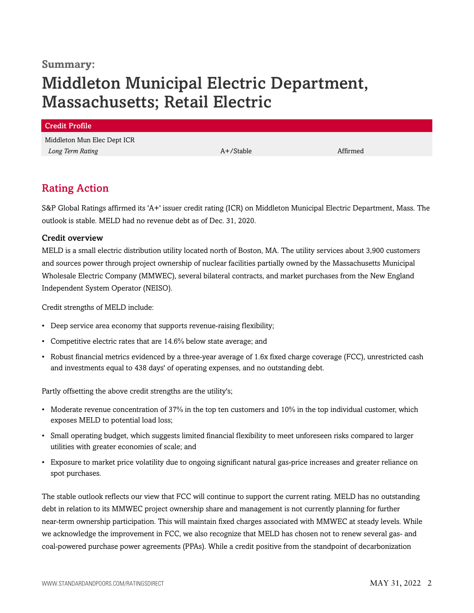### **Summary:**

# Middleton Municipal Electric Department, Massachusetts; Retail Electric

| <b>Credit Profile</b>       |           |          |
|-----------------------------|-----------|----------|
| Middleton Mun Elec Dept ICR |           |          |
| Long Term Rating            | A+/Stable | Affirmed |
|                             |           |          |

# <span id="page-1-0"></span>Rating Action

S&P Global Ratings affirmed its 'A+' issuer credit rating (ICR) on Middleton Municipal Electric Department, Mass. The outlook is stable. MELD had no revenue debt as of Dec. 31, 2020.

#### Credit overview

MELD is a small electric distribution utility located north of Boston, MA. The utility services about 3,900 customers and sources power through project ownership of nuclear facilities partially owned by the Massachusetts Municipal Wholesale Electric Company (MMWEC), several bilateral contracts, and market purchases from the New England Independent System Operator (NEISO).

Credit strengths of MELD include:

- Deep service area economy that supports revenue-raising flexibility;
- Competitive electric rates that are 14.6% below state average; and
- Robust financial metrics evidenced by a three-year average of 1.6x fixed charge coverage (FCC), unrestricted cash and investments equal to 438 days' of operating expenses, and no outstanding debt.

Partly offsetting the above credit strengths are the utility's;

- Moderate revenue concentration of 37% in the top ten customers and 10% in the top individual customer, which exposes MELD to potential load loss;
- Small operating budget, which suggests limited financial flexibility to meet unforeseen risks compared to larger utilities with greater economies of scale; and
- Exposure to market price volatility due to ongoing significant natural gas-price increases and greater reliance on spot purchases.

The stable outlook reflects our view that FCC will continue to support the current rating. MELD has no outstanding debt in relation to its MMWEC project ownership share and management is not currently planning for further near-term ownership participation. This will maintain fixed charges associated with MMWEC at steady levels. While we acknowledge the improvement in FCC, we also recognize that MELD has chosen not to renew several gas- and coal-powered purchase power agreements (PPAs). While a credit positive from the standpoint of decarbonization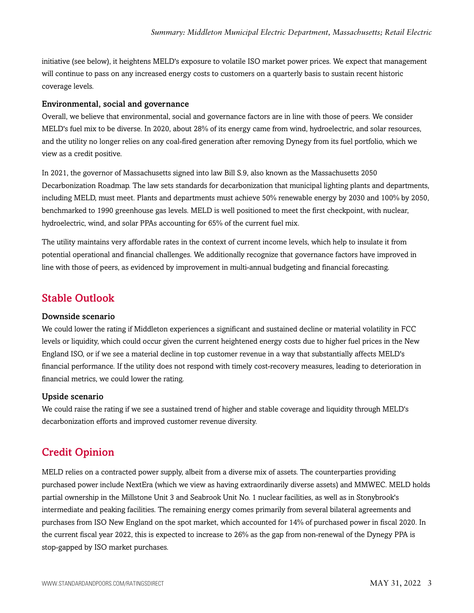initiative (see below), it heightens MELD's exposure to volatile ISO market power prices. We expect that management will continue to pass on any increased energy costs to customers on a quarterly basis to sustain recent historic coverage levels.

#### Environmental, social and governance

Overall, we believe that environmental, social and governance factors are in line with those of peers. We consider MELD's fuel mix to be diverse. In 2020, about 28% of its energy came from wind, hydroelectric, and solar resources, and the utility no longer relies on any coal-fired generation after removing Dynegy from its fuel portfolio, which we view as a credit positive.

In 2021, the governor of Massachusetts signed into law Bill S.9, also known as the Massachusetts 2050 Decarbonization Roadmap. The law sets standards for decarbonization that municipal lighting plants and departments, including MELD, must meet. Plants and departments must achieve 50% renewable energy by 2030 and 100% by 2050, benchmarked to 1990 greenhouse gas levels. MELD is well positioned to meet the first checkpoint, with nuclear, hydroelectric, wind, and solar PPAs accounting for 65% of the current fuel mix.

The utility maintains very affordable rates in the context of current income levels, which help to insulate it from potential operational and financial challenges. We additionally recognize that governance factors have improved in line with those of peers, as evidenced by improvement in multi-annual budgeting and financial forecasting.

#### <span id="page-2-0"></span>Stable Outlook

#### Downside scenario

We could lower the rating if Middleton experiences a significant and sustained decline or material volatility in FCC levels or liquidity, which could occur given the current heightened energy costs due to higher fuel prices in the New England ISO, or if we see a material decline in top customer revenue in a way that substantially affects MELD's financial performance. If the utility does not respond with timely cost-recovery measures, leading to deterioration in financial metrics, we could lower the rating.

#### Upside scenario

We could raise the rating if we see a sustained trend of higher and stable coverage and liquidity through MELD's decarbonization efforts and improved customer revenue diversity.

### <span id="page-2-1"></span>Credit Opinion

MELD relies on a contracted power supply, albeit from a diverse mix of assets. The counterparties providing purchased power include NextEra (which we view as having extraordinarily diverse assets) and MMWEC. MELD holds partial ownership in the Millstone Unit 3 and Seabrook Unit No. 1 nuclear facilities, as well as in Stonybrook's intermediate and peaking facilities. The remaining energy comes primarily from several bilateral agreements and purchases from ISO New England on the spot market, which accounted for 14% of purchased power in fiscal 2020. In the current fiscal year 2022, this is expected to increase to 26% as the gap from non-renewal of the Dynegy PPA is stop-gapped by ISO market purchases.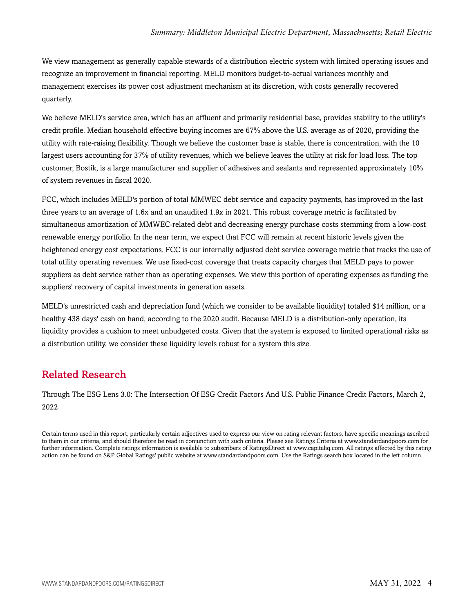We view management as generally capable stewards of a distribution electric system with limited operating issues and recognize an improvement in financial reporting. MELD monitors budget-to-actual variances monthly and management exercises its power cost adjustment mechanism at its discretion, with costs generally recovered quarterly.

We believe MELD's service area, which has an affluent and primarily residential base, provides stability to the utility's credit profile. Median household effective buying incomes are 67% above the U.S. average as of 2020, providing the utility with rate-raising flexibility. Though we believe the customer base is stable, there is concentration, with the 10 largest users accounting for 37% of utility revenues, which we believe leaves the utility at risk for load loss. The top customer, Bostik, is a large manufacturer and supplier of adhesives and sealants and represented approximately 10% of system revenues in fiscal 2020.

FCC, which includes MELD's portion of total MMWEC debt service and capacity payments, has improved in the last three years to an average of 1.6x and an unaudited 1.9x in 2021. This robust coverage metric is facilitated by simultaneous amortization of MMWEC-related debt and decreasing energy purchase costs stemming from a low-cost renewable energy portfolio. In the near term, we expect that FCC will remain at recent historic levels given the heightened energy cost expectations. FCC is our internally adjusted debt service coverage metric that tracks the use of total utility operating revenues. We use fixed-cost coverage that treats capacity charges that MELD pays to power suppliers as debt service rather than as operating expenses. We view this portion of operating expenses as funding the suppliers' recovery of capital investments in generation assets.

MELD's unrestricted cash and depreciation fund (which we consider to be available liquidity) totaled \$14 million, or a healthy 438 days' cash on hand, according to the 2020 audit. Because MELD is a distribution-only operation, its liquidity provides a cushion to meet unbudgeted costs. Given that the system is exposed to limited operational risks as a distribution utility, we consider these liquidity levels robust for a system this size.

# <span id="page-3-0"></span>Related Research

Through The ESG Lens 3.0: The Intersection Of ESG Credit Factors And U.S. Public Finance Credit Factors, March 2, 2022

Certain terms used in this report, particularly certain adjectives used to express our view on rating relevant factors, have specific meanings ascribed to them in our criteria, and should therefore be read in conjunction with such criteria. Please see Ratings Criteria at <www.standardandpoors.com>for further information. Complete ratings information is available to subscribers of RatingsDirect at <www.capitaliq.com>. All ratings affected by this rating action can be found on S&P Global Ratings' public website at [www.standardandpoors.com.](www.standardandpoors.com) Use the Ratings search box located in the left column.